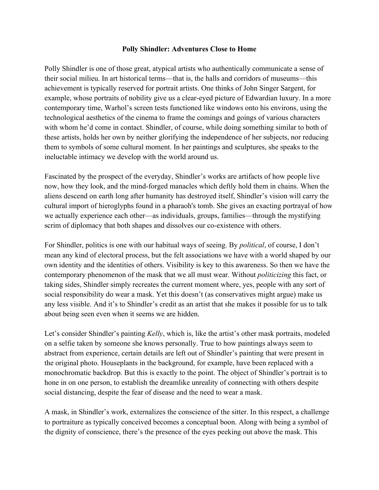## **Polly Shindler: Adventures Close to Home**

Polly Shindler is one of those great, atypical artists who authentically communicate a sense of their social milieu. In art historical terms—that is, the halls and corridors of museums—this achievement is typically reserved for portrait artists. One thinks of John Singer Sargent, for example, whose portraits of nobility give us a clear-eyed picture of Edwardian luxury. In a more contemporary time, Warhol's screen tests functioned like windows onto his environs, using the technological aesthetics of the cinema to frame the comings and goings of various characters with whom he'd come in contact. Shindler, of course, while doing something similar to both of these artists, holds her own by neither glorifying the independence of her subjects, nor reducing them to symbols of some cultural moment. In her paintings and sculptures, she speaks to the ineluctable intimacy we develop with the world around us.

Fascinated by the prospect of the everyday, Shindler's works are artifacts of how people live now, how they look, and the mind-forged manacles which deftly hold them in chains. When the aliens descend on earth long after humanity has destroyed itself, Shindler's vision will carry the cultural import of hieroglyphs found in a pharaoh's tomb. She gives an exacting portrayal of how we actually experience each other—as individuals, groups, families—through the mystifying scrim of diplomacy that both shapes and dissolves our co-existence with others.

For Shindler, politics is one with our habitual ways of seeing. By *political*, of course, I don't mean any kind of electoral process, but the felt associations we have with a world shaped by our own identity and the identities of others. Visibility is key to this awareness. So then we have the contemporary phenomenon of the mask that we all must wear. Without *politicizing* this fact, or taking sides, Shindler simply recreates the current moment where, yes, people with any sort of social responsibility do wear a mask. Yet this doesn't (as conservatives might argue) make us any less visible. And it's to Shindler's credit as an artist that she makes it possible for us to talk about being seen even when it seems we are hidden.

Let's consider Shindler's painting *Kelly*, which is, like the artist's other mask portraits, modeled on a selfie taken by someone she knows personally. True to how paintings always seem to abstract from experience, certain details are left out of Shindler's painting that were present in the original photo. Houseplants in the background, for example, have been replaced with a monochromatic backdrop. But this is exactly to the point. The object of Shindler's portrait is to hone in on one person, to establish the dreamlike unreality of connecting with others despite social distancing, despite the fear of disease and the need to wear a mask.

A mask, in Shindler's work, externalizes the conscience of the sitter. In this respect, a challenge to portraiture as typically conceived becomes a conceptual boon. Along with being a symbol of the dignity of conscience, there's the presence of the eyes peeking out above the mask. This